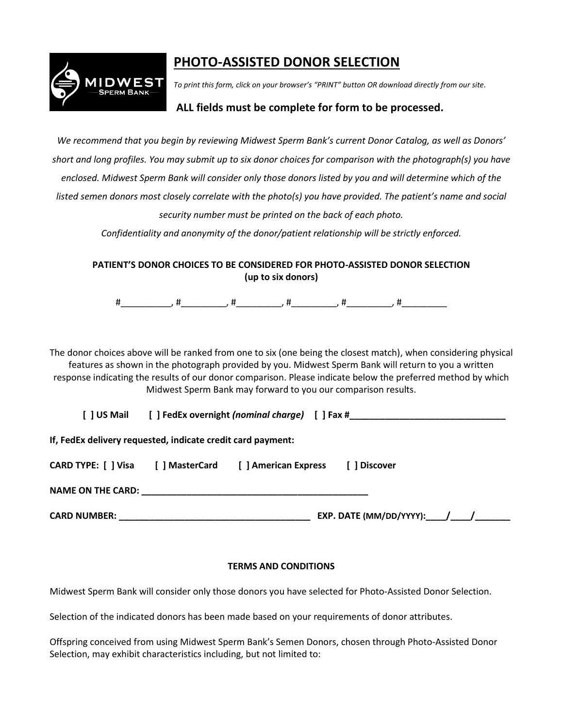

## **PHOTO-ASSISTED DONOR SELECTION**

*To print this form, click on your browser's "PRINT" button OR download directly from our site.*

## **ALL fields must be complete for form to be processed.**

*We recommend that you begin by reviewing Midwest Sperm Bank's current Donor Catalog, as well as Donors' short and long profiles. You may submit up to six donor choices for comparison with the photograph(s) you have enclosed. Midwest Sperm Bank will consider only those donors listed by you and will determine which of the listed semen donors most closely correlate with the photo(s) you have provided. The patient's name and social security number must be printed on the back of each photo.* 

*Confidentiality and anonymity of the donor/patient relationship will be strictly enforced.*

**PATIENT'S DONOR CHOICES TO BE CONSIDERED FOR PHOTO-ASSISTED DONOR SELECTION (up to six donors)**

#\_\_\_\_\_\_\_\_\_\_, #\_\_\_\_\_\_\_\_\_, #\_\_\_\_\_\_\_\_\_, #\_\_\_\_\_\_\_\_\_, #\_\_\_\_\_\_\_\_\_, #\_\_\_\_\_\_\_\_\_

The donor choices above will be ranked from one to six (one being the closest match), when considering physical features as shown in the photograph provided by you. Midwest Sperm Bank will return to you a written response indicating the results of our donor comparison. Please indicate below the preferred method by which Midwest Sperm Bank may forward to you our comparison results.

**[ ] US Mail [ ] FedEx overnight** *(nominal charge)* **[ ] Fax #\_\_\_\_\_\_\_\_\_\_\_\_\_\_\_\_\_\_\_\_\_\_\_\_\_\_\_\_\_\_\_**

**If, FedEx delivery requested, indicate credit card payment:**

| CARD TYPE: [] Visa | [ ] MasterCard | [ ] American Express | [ ] Discover |  |
|--------------------|----------------|----------------------|--------------|--|
|                    |                |                      |              |  |

**NAME ON THE CARD:**  $\blacksquare$ 

**CARD NUMBER: \_\_\_\_\_\_\_\_\_\_\_\_\_\_\_\_\_\_\_\_\_\_\_\_\_\_\_\_\_\_\_\_\_\_\_\_\_\_ EXP. DATE (MM/DD/YYYY):\_\_\_\_/\_\_\_\_/\_\_\_\_\_\_\_**

## **TERMS AND CONDITIONS**

Midwest Sperm Bank will consider only those donors you have selected for Photo-Assisted Donor Selection.

Selection of the indicated donors has been made based on your requirements of donor attributes.

Offspring conceived from using Midwest Sperm Bank's Semen Donors, chosen through Photo-Assisted Donor Selection, may exhibit characteristics including, but not limited to: